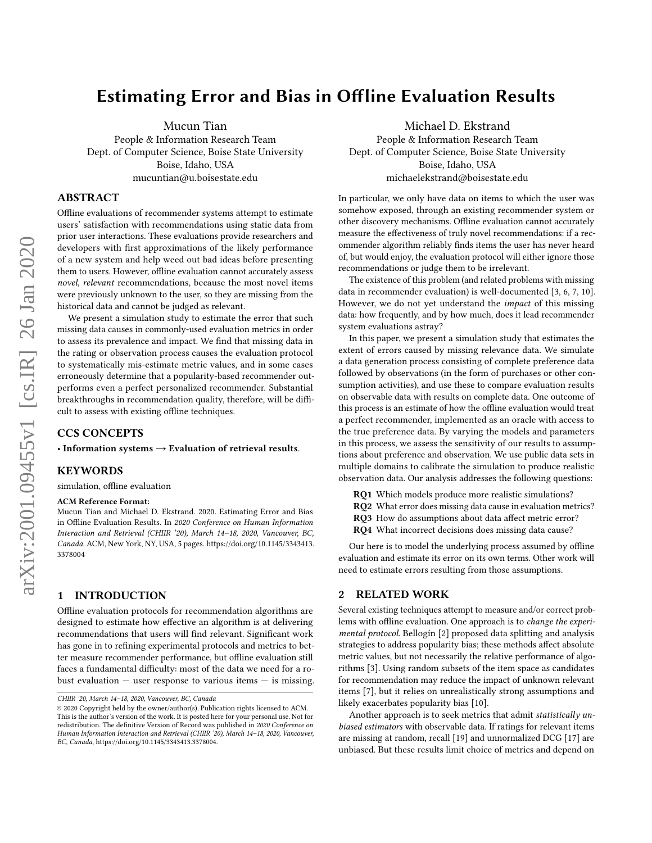# Estimating Error and Bias in Offline Evaluation Results

Mucun Tian

People & Information Research Team Dept. of Computer Science, Boise State University Boise, Idaho, USA mucuntian@u.boisestate.edu

# ABSTRACT

Offline evaluations of recommender systems attempt to estimate users' satisfaction with recommendations using static data from prior user interactions. These evaluations provide researchers and developers with first approximations of the likely performance of a new system and help weed out bad ideas before presenting them to users. However, offline evaluation cannot accurately assess novel, relevant recommendations, because the most novel items were previously unknown to the user, so they are missing from the historical data and cannot be judged as relevant.

We present a simulation study to estimate the error that such missing data causes in commonly-used evaluation metrics in order to assess its prevalence and impact. We find that missing data in the rating or observation process causes the evaluation protocol to systematically mis-estimate metric values, and in some cases erroneously determine that a popularity-based recommender outperforms even a perfect personalized recommender. Substantial breakthroughs in recommendation quality, therefore, will be difficult to assess with existing offline techniques.

# CCS CONCEPTS

• Information systems  $\rightarrow$  Evaluation of retrieval results.

#### **KEYWORDS**

simulation, offline evaluation

#### ACM Reference Format:

Mucun Tian and Michael D. Ekstrand. 2020. Estimating Error and Bias in Offline Evaluation Results. In 2020 Conference on Human Information Interaction and Retrieval (CHIIR '20), March 14–18, 2020, Vancouver, BC, Canada. ACM, New York, NY, USA, [5](#page-4-0) pages. [https://doi.org/10.1145/3343413.](https://doi.org/10.1145/3343413.3378004) [3378004](https://doi.org/10.1145/3343413.3378004)

# 1 INTRODUCTION

Offline evaluation protocols for recommendation algorithms are designed to estimate how effective an algorithm is at delivering recommendations that users will find relevant. Significant work has gone in to refining experimental protocols and metrics to better measure recommender performance, but offline evaluation still faces a fundamental difficulty: most of the data we need for a robust evaluation  $-$  user response to various items  $-$  is missing.

Michael D. Ekstrand

People & Information Research Team Dept. of Computer Science, Boise State University Boise, Idaho, USA michaelekstrand@boisestate.edu

In particular, we only have data on items to which the user was somehow exposed, through an existing recommender system or other discovery mechanisms. Offline evaluation cannot accurately measure the effectiveness of truly novel recommendations: if a recommender algorithm reliably finds items the user has never heard of, but would enjoy, the evaluation protocol will either ignore those recommendations or judge them to be irrelevant.

The existence of this problem (and related problems with missing data in recommender evaluation) is well-documented [\[3,](#page-4-1) [6,](#page-4-2) [7,](#page-4-3) [10\]](#page-4-4). However, we do not yet understand the impact of this missing data: how frequently, and by how much, does it lead recommender system evaluations astray?

In this paper, we present a simulation study that estimates the extent of errors caused by missing relevance data. We simulate a data generation process consisting of complete preference data followed by observations (in the form of purchases or other consumption activities), and use these to compare evaluation results on observable data with results on complete data. One outcome of this process is an estimate of how the offline evaluation would treat a perfect recommender, implemented as an oracle with access to the true preference data. By varying the models and parameters in this process, we assess the sensitivity of our results to assumptions about preference and observation. We use public data sets in multiple domains to calibrate the simulation to produce realistic observation data. Our analysis addresses the following questions:

RQ1 Which models produce more realistic simulations?

RQ2 What error does missing data cause in evaluation metrics?

RQ3 How do assumptions about data affect metric error?

RQ4 What incorrect decisions does missing data cause?

Our here is to model the underlying process assumed by offline evaluation and estimate its error on its own terms. Other work will need to estimate errors resulting from those assumptions.

#### 2 RELATED WORK

Several existing techniques attempt to measure and/or correct problems with offline evaluation. One approach is to change the experimental protocol. Bellogín [\[2\]](#page-4-5) proposed data splitting and analysis strategies to address popularity bias; these methods affect absolute metric values, but not necessarily the relative performance of algorithms [\[3\]](#page-4-1). Using random subsets of the item space as candidates for recommendation may reduce the impact of unknown relevant items [\[7\]](#page-4-3), but it relies on unrealistically strong assumptions and likely exacerbates popularity bias [\[10\]](#page-4-4).

Another approach is to seek metrics that admit statistically unbiased estimators with observable data. If ratings for relevant items are missing at random, recall [\[19\]](#page-4-6) and unnormalized DCG [\[17\]](#page-4-7) are unbiased. But these results limit choice of metrics and depend on

CHIIR '20, March 14–18, 2020, Vancouver, BC, Canada

<sup>©</sup> 2020 Copyright held by the owner/author(s). Publication rights licensed to ACM. This is the author's version of the work. It is posted here for your personal use. Not for redistribution. The definitive Version of Record was published in 2020 Conference on Human Information Interaction and Retrieval (CHIIR '20), March 14–18, 2020, Vancouver, BC, Canada, [https://doi.org/10.1145/3343413.3378004.](https://doi.org/10.1145/3343413.3378004)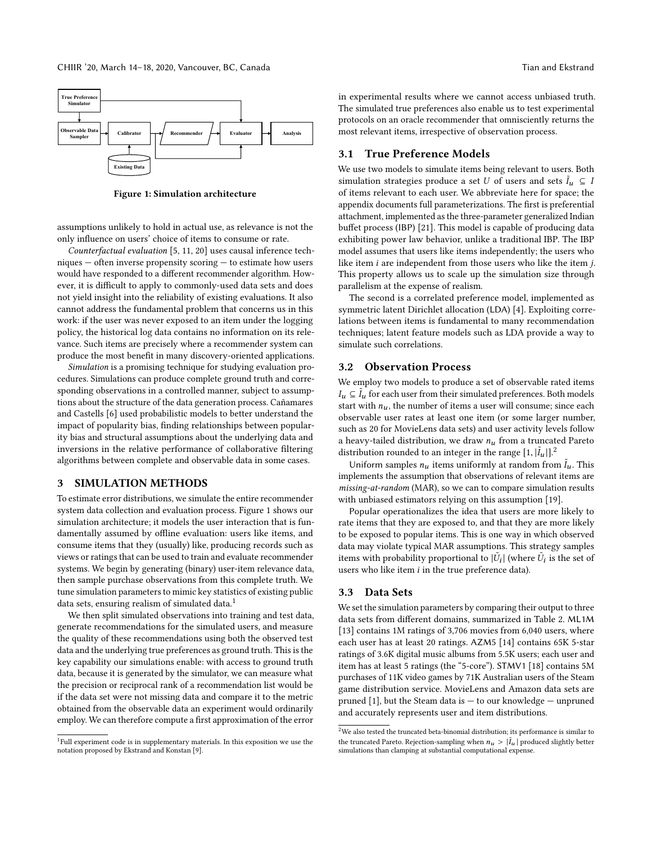<span id="page-1-0"></span>

Figure 1: Simulation architecture

assumptions unlikely to hold in actual use, as relevance is not the only influence on users' choice of items to consume or rate.

Counterfactual evaluation [\[5,](#page-4-8) [11,](#page-4-9) [20\]](#page-4-10) uses causal inference techniques — often inverse propensity scoring — to estimate how users would have responded to a different recommender algorithm. However, it is difficult to apply to commonly-used data sets and does not yield insight into the reliability of existing evaluations. It also cannot address the fundamental problem that concerns us in this work: if the user was never exposed to an item under the logging policy, the historical log data contains no information on its relevance. Such items are precisely where a recommender system can produce the most benefit in many discovery-oriented applications.

Simulation is a promising technique for studying evaluation procedures. Simulations can produce complete ground truth and corresponding observations in a controlled manner, subject to assumptions about the structure of the data generation process. Cañamares and Castells [\[6\]](#page-4-2) used probabilistic models to better understand the impact of popularity bias, finding relationships between popularity bias and structural assumptions about the underlying data and inversions in the relative performance of collaborative filtering algorithms between complete and observable data in some cases.

# 3 SIMULATION METHODS

To estimate error distributions, we simulate the entire recommender system data collection and evaluation process. Figure [1](#page-1-0) shows our simulation architecture; it models the user interaction that is fundamentally assumed by offline evaluation: users like items, and consume items that they (usually) like, producing records such as views or ratings that can be used to train and evaluate recommender systems. We begin by generating (binary) user-item relevance data, then sample purchase observations from this complete truth. We tune simulation parameters to mimic key statistics of existing public data sets, ensuring realism of simulated data.<sup>[1](#page-1-1)</sup>

We then split simulated observations into training and test data, generate recommendations for the simulated users, and measure the quality of these recommendations using both the observed test data and the underlying true preferences as ground truth. This is the key capability our simulations enable: with access to ground truth data, because it is generated by the simulator, we can measure what the precision or reciprocal rank of a recommendation list would be if the data set were not missing data and compare it to the metric obtained from the observable data an experiment would ordinarily employ. We can therefore compute a first approximation of the error in experimental results where we cannot access unbiased truth. The simulated true preferences also enable us to test experimental protocols on an oracle recommender that omnisciently returns the most relevant items, irrespective of observation process.

#### 3.1 True Preference Models

We use two models to simulate items being relevant to users. Both simulation strategies produce a set U of users and sets  $\tilde{I}_u \subseteq I$ <br>of items relevant to each user We abbreviate here for space: the of items relevant to each user. We abbreviate here for space; the appendix documents full parameterizations. The first is preferential attachment, implemented as the three-parameter generalized Indian buffet process (IBP) [\[21\]](#page-4-12). This model is capable of producing data exhibiting power law behavior, unlike a traditional IBP. The IBP model assumes that users like items independently; the users who like item i are independent from those users who like the item j. This property allows us to scale up the simulation size through parallelism at the expense of realism.

The second is a correlated preference model, implemented as symmetric latent Dirichlet allocation (LDA) [\[4\]](#page-4-13). Exploiting correlations between items is fundamental to many recommendation techniques; latent feature models such as LDA provide a way to simulate such correlations.

# 3.2 Observation Process

We employ two models to produce a set of observable rated items  $I_u \subseteq \tilde{I}_u$  for each user from their simulated preferences. Both models<br>start with n the number of items a user will consume; since each start with  $n_u$ , the number of items a user will consume; since each observable user rates at least one item (or some larger number, such as 20 for MovieLens data sets) and user activity levels follow a heavy-tailed distribution, we draw  $n<sub>u</sub>$  from a truncated Pareto distribution rounded to an integer in the range  $[1, |\tilde{I}_u|]^2$  $[1, |\tilde{I}_u|]^2$ .

Uniform samples  $n_u$  items uniformly at random from  $\tilde{I}_u$ . This plements the assumption that observations of relevant items are implements the assumption that observations of relevant items are missing-at-random (MAR), so we can to compare simulation results with unbiased estimators relying on this assumption [\[19\]](#page-4-6).

Popular operationalizes the idea that users are more likely to rate items that they are exposed to, and that they are more likely to be exposed to popular items. This is one way in which observed data may violate typical MAR assumptions. This strategy samples items with probability proportional to  $|\tilde{U}_i|$  (where  $\tilde{U}_i$  is the set of users who like item *i* in the true preference data) users who like item  $i$  in the true preference data).

### 3.3 Data Sets

We set the simulation parameters by comparing their output to three data sets from different domains, summarized in Table [2.](#page-2-0) ML1M [\[13\]](#page-4-14) contains 1M ratings of 3,706 movies from 6,040 users, where each user has at least 20 ratings. AZM5 [\[14\]](#page-4-15) contains 65K 5-star ratings of 3.6K digital music albums from 5.5K users; each user and item has at least 5 ratings (the "5-core"). STMV1 [\[18\]](#page-4-16) contains 5M purchases of 11K video games by 71K Australian users of the Steam game distribution service. MovieLens and Amazon data sets are pruned [\[1\]](#page-4-17), but the Steam data is — to our knowledge — unpruned and accurately represents user and item distributions.

<span id="page-1-1"></span><sup>&</sup>lt;sup>1</sup>Full experiment code is in supplementary materials. In this exposition we use the notation proposed by Ekstrand and Konstan [\[9\]](#page-4-11).

<span id="page-1-2"></span> $^2\rm{We}$  also tested the truncated beta-binomial distribution; its performance is similar to the truncated Pareto. Rejection-sampling when  $n_u > |\tilde{I}_u|$  produced slightly better simulations than clamning at substantial computational expense simulations than clamping at substantial computational expense.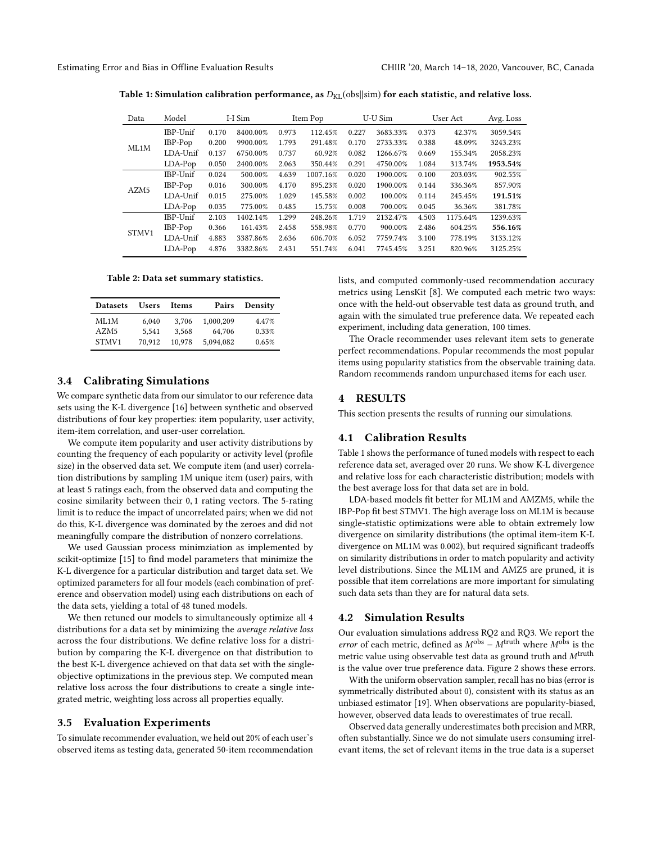<span id="page-2-1"></span>Estimating Error and Bias in Offline Evaluation Results CHIIR '20, March 14–18, 2020, Vancouver, BC, Canada

| Data             | Model    | I-I Sim |          | Item Pop |          | U-U Sim |          | User Act |          | Avg. Loss |
|------------------|----------|---------|----------|----------|----------|---------|----------|----------|----------|-----------|
| ML1M             | IBP-Unif | 0.170   | 8400.00% | 0.973    | 112.45%  | 0.227   | 3683.33% | 0.373    | 42.37%   | 3059.54%  |
|                  | IBP-Pop  | 0.200   | 9900.00% | 1.793    | 291.48%  | 0.170   | 2733.33% | 0.388    | 48.09%   | 3243.23%  |
|                  | LDA-Unif | 0.137   | 6750.00% | 0.737    | 60.92%   | 0.082   | 1266.67% | 0.669    | 155.34%  | 2058.23%  |
|                  | LDA-Pop  | 0.050   | 2400.00% | 2.063    | 350.44%  | 0.291   | 4750.00% | 1.084    | 313.74%  | 1953.54%  |
| AZM <sub>5</sub> | IBP-Unif | 0.024   | 500.00%  | 4.639    | 1007.16% | 0.020   | 1900.00% | 0.100    | 203.03%  | 902.55%   |
|                  | IBP-Pop  | 0.016   | 300.00%  | 4.170    | 895.23%  | 0.020   | 1900.00% | 0.144    | 336.36%  | 857.90%   |
|                  | LDA-Unif | 0.015   | 275.00%  | 1.029    | 145.58%  | 0.002   | 100.00%  | 0.114    | 245.45%  | 191.51%   |
|                  | LDA-Pop  | 0.035   | 775.00%  | 0.485    | 15.75%   | 0.008   | 700.00%  | 0.045    | 36.36%   | 381.78%   |
| STMV1            | IBP-Unif | 2.103   | 1402.14% | 1.299    | 248.26%  | 1.719   | 2132.47% | 4.503    | 1175.64% | 1239.63%  |
|                  | IBP-Pop  | 0.366   | 161.43%  | 2.458    | 558.98%  | 0.770   | 900.00%  | 2.486    | 604.25%  | 556.16%   |
|                  | LDA-Unif | 4.883   | 3387.86% | 2.636    | 606.70%  | 6.052   | 7759.74% | 3.100    | 778.19%  | 3133.12%  |
|                  | LDA-Pop  | 4.876   | 3382.86% | 2.431    | 551.74%  | 6.041   | 7745.45% | 3.251    | 820.96%  | 3125.25%  |

Table 1: Simulation calibration performance, as  $D_{\text{KL}}(\text{obs}||\text{sim})$  for each statistic, and relative loss.

Table 2: Data set summary statistics.

<span id="page-2-0"></span>

| <b>Datasets</b>  | <b>Users</b> | Items  | Pairs     | Density |
|------------------|--------------|--------|-----------|---------|
| ML1M             | 6.040        | 3.706  | 1.000.209 | 4.47%   |
| AZM <sub>5</sub> | 5.541        | 3.568  | 64.706    | 0.33%   |
| STMV1            | 70.912       | 10.978 | 5.094.082 | 0.65%   |

# 3.4 Calibrating Simulations

We compare synthetic data from our simulator to our reference data sets using the K-L divergence [\[16\]](#page-4-18) between synthetic and observed distributions of four key properties: item popularity, user activity, item-item correlation, and user-user correlation.

We compute item popularity and user activity distributions by counting the frequency of each popularity or activity level (profile size) in the observed data set. We compute item (and user) correlation distributions by sampling 1M unique item (user) pairs, with at least 5 ratings each, from the observed data and computing the cosine similarity between their <sup>0</sup>, <sup>1</sup> rating vectors. The 5-rating limit is to reduce the impact of uncorrelated pairs; when we did not do this, K-L divergence was dominated by the zeroes and did not meaningfully compare the distribution of nonzero correlations.

We used Gaussian process minimziation as implemented by scikit-optimize [\[15\]](#page-4-19) to find model parameters that minimize the K-L divergence for a particular distribution and target data set. We optimized parameters for all four models (each combination of preference and observation model) using each distributions on each of the data sets, yielding a total of 48 tuned models.

We then retuned our models to simultaneously optimize all 4 distributions for a data set by minimizing the average relative loss across the four distributions. We define relative loss for a distribution by comparing the K-L divergence on that distribution to the best K-L divergence achieved on that data set with the singleobjective optimizations in the previous step. We computed mean relative loss across the four distributions to create a single integrated metric, weighting loss across all properties equally.

### 3.5 Evaluation Experiments

To simulate recommender evaluation, we held out 20% of each user's observed items as testing data, generated 50-item recommendation lists, and computed commonly-used recommendation accuracy metrics using LensKit [\[8\]](#page-4-20). We computed each metric two ways: once with the held-out observable test data as ground truth, and again with the simulated true preference data. We repeated each experiment, including data generation, 100 times.

The Oracle recommender uses relevant item sets to generate perfect recommendations. Popular recommends the most popular items using popularity statistics from the observable training data. Random recommends random unpurchased items for each user.

# 4 RESULTS

This section presents the results of running our simulations.

# 4.1 Calibration Results

Table [1](#page-2-1) shows the performance of tuned models with respect to each reference data set, averaged over 20 runs. We show K-L divergence and relative loss for each characteristic distribution; models with the best average loss for that data set are in bold.

LDA-based models fit better for ML1M and AMZM5, while the IBP-Pop fit best STMV1. The high average loss on ML1M is because single-statistic optimizations were able to obtain extremely low divergence on similarity distributions (the optimal item-item K-L divergence on ML1M was 0.002), but required significant tradeoffs on similarity distributions in order to match popularity and activity level distributions. Since the ML1M and AMZ5 are pruned, it is possible that item correlations are more important for simulating such data sets than they are for natural data sets.

### 4.2 Simulation Results

Our evaluation simulations address RQ2 and RQ3. We report the error of each metric, defined as  $M^{obs} - M^{truth}$  where  $M^{obs}$  is the metric value using observable test data as ground truth and  $M^{\rm truth}$ is the value over true preference data. Figure [2](#page-3-0) shows these errors.

With the uniform observation sampler, recall has no bias (error is symmetrically distributed about 0), consistent with its status as an unbiased estimator [\[19\]](#page-4-6). When observations are popularity-biased, however, observed data leads to overestimates of true recall.

Observed data generally underestimates both precision and MRR, often substantially. Since we do not simulate users consuming irrelevant items, the set of relevant items in the true data is a superset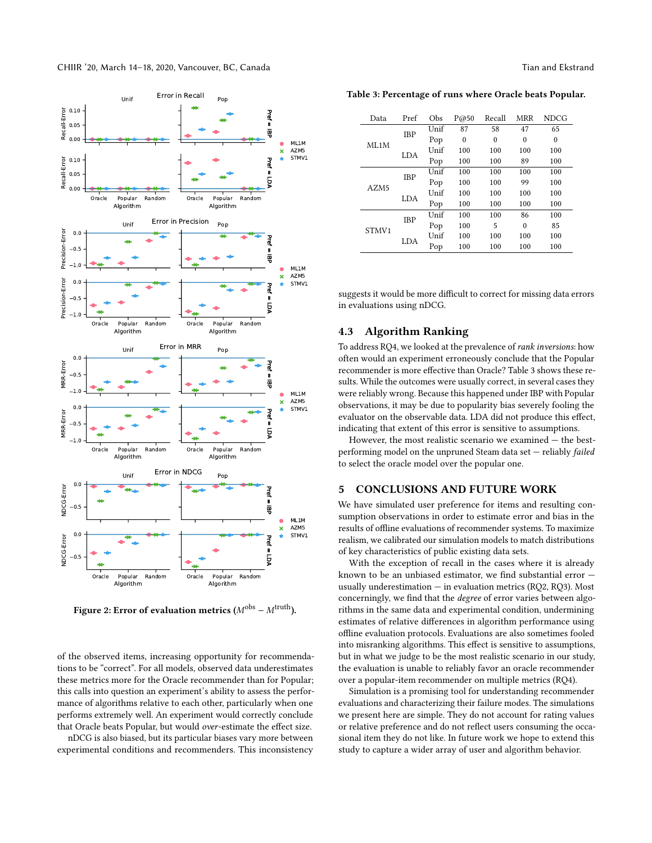<span id="page-3-0"></span>

Figure 2: Error of evaluation metrics ( $M^{obs} - M^{truth}$ ).

of the observed items, increasing opportunity for recommendations to be "correct". For all models, observed data underestimates these metrics more for the Oracle recommender than for Popular; this calls into question an experiment's ability to assess the performance of algorithms relative to each other, particularly when one performs extremely well. An experiment would correctly conclude that Oracle beats Popular, but would over-estimate the effect size.

nDCG is also biased, but its particular biases vary more between experimental conditions and recommenders. This inconsistency

<span id="page-3-1"></span>Table 3: Percentage of runs where Oracle beats Popular.

| Data  | Pref       | Obs  | P@50     | Recall   | MRR      | <b>NDCG</b> |
|-------|------------|------|----------|----------|----------|-------------|
|       | <b>IBP</b> | Unif | 87       | 58       | 47       | 65          |
| ML1M  |            | Pop  | $\theta$ | $\theta$ | $\theta$ | $\theta$    |
|       | LDA        | Unif | 100      | 100      | 100      | 100         |
|       |            | Pop  | 100      | 100      | 89       | 100         |
|       | <b>IBP</b> | Unif | 100      | 100      | 100      | 100         |
| AZM5  |            | Pop  | 100      | 100      | 99       | 100         |
|       | LDA        | Unif | 100      | 100      | 100      | 100         |
|       |            | Pop  | 100      | 100      | 100      | 100         |
|       | <b>IBP</b> | Unif | 100      | 100      | 86       | 100         |
| STMV1 |            | Pop  | 100      | 5        | $\Omega$ | 85          |
|       | LDA        | Unif | 100      | 100      | 100      | 100         |
|       |            | Pop  | 100      | 100      | 100      | 100         |

suggests it would be more difficult to correct for missing data errors in evaluations using nDCG.

# 4.3 Algorithm Ranking

To address RQ4, we looked at the prevalence of rank inversions: how often would an experiment erroneously conclude that the Popular recommender is more effective than Oracle? Table [3](#page-3-1) shows these results. While the outcomes were usually correct, in several cases they were reliably wrong. Because this happened under IBP with Popular observations, it may be due to popularity bias severely fooling the evaluator on the observable data. LDA did not produce this effect, indicating that extent of this error is sensitive to assumptions.

However, the most realistic scenario we examined — the bestperforming model on the unpruned Steam data set — reliably failed to select the oracle model over the popular one.

#### 5 CONCLUSIONS AND FUTURE WORK

We have simulated user preference for items and resulting consumption observations in order to estimate error and bias in the results of offline evaluations of recommender systems. To maximize realism, we calibrated our simulation models to match distributions of key characteristics of public existing data sets.

With the exception of recall in the cases where it is already known to be an unbiased estimator, we find substantial error usually underestimation  $-$  in evaluation metrics (RQ2, RQ3). Most concerningly, we find that the degree of error varies between algorithms in the same data and experimental condition, undermining estimates of relative differences in algorithm performance using offline evaluation protocols. Evaluations are also sometimes fooled into misranking algorithms. This effect is sensitive to assumptions, but in what we judge to be the most realistic scenario in our study, the evaluation is unable to reliably favor an oracle recommender over a popular-item recommender on multiple metrics (RQ4).

Simulation is a promising tool for understanding recommender evaluations and characterizing their failure modes. The simulations we present here are simple. They do not account for rating values or relative preference and do not reflect users consuming the occasional item they do not like. In future work we hope to extend this study to capture a wider array of user and algorithm behavior.